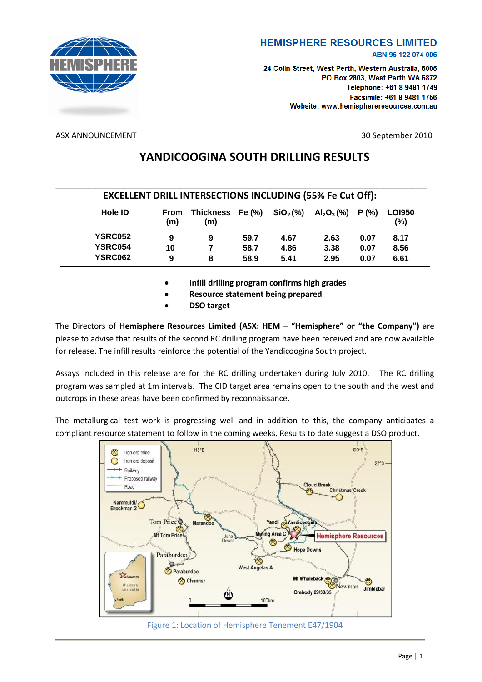

### **HEMISPHERE RESOURCES LIMITED** ABN 96 122 074 006

24 Colin Street, West Perth, Western Australia, 6005 PO Box 2803, West Perth WA 6872 Telephone: +61 8 9481 1749 Facsimile: +61 8 9481 1756 Website: www.hemisphereresources.com.au

ASX ANNOUNCEMENT 30 September 2010

# **YANDICOOGINA SOUTH DRILLING RESULTS**

| <b>EXCELLENT DRILL INTERSECTIONS INCLUDING (55% Fe Cut Off):</b> |             |                         |      |                      |               |       |                          |  |  |  |
|------------------------------------------------------------------|-------------|-------------------------|------|----------------------|---------------|-------|--------------------------|--|--|--|
| <b>Hole ID</b>                                                   | From<br>(m) | Thickness Fe (%)<br>(m) |      | SiO <sub>2</sub> (%) | $Al_2O_3(\%)$ | P(% ) | <b>LOI950</b><br>$(\% )$ |  |  |  |
| <b>YSRC052</b>                                                   | 9           | 9                       | 59.7 | 4.67                 | 2.63          | 0.07  | 8.17                     |  |  |  |
| <b>YSRC054</b>                                                   | 10          |                         | 58.7 | 4.86                 | 3.38          | 0.07  | 8.56                     |  |  |  |
| <b>YSRC062</b>                                                   | 9           | 8                       | 58.9 | 5.41                 | 2.95          | 0.07  | 6.61                     |  |  |  |

**Infill drilling program confirms high grades**

- **Resource statement being prepared**
- **DSO target**

The Directors of **Hemisphere Resources Limited (ASX: HEM – "Hemisphere" or "the Company")** are please to advise that results of the second RC drilling program have been received and are now available for release. The infill results reinforce the potential of the Yandicoogina South project.

Assays included in this release are for the RC drilling undertaken during July 2010. The RC drilling program was sampled at 1m intervals. The CID target area remains open to the south and the west and outcrops in these areas have been confirmed by reconnaissance.

The metallurgical test work is progressing well and in addition to this, the company anticipates a compliant resource statement to follow in the coming weeks. Results to date suggest a DSO product.



Figure 1: Location of Hemisphere Tenement E47/1904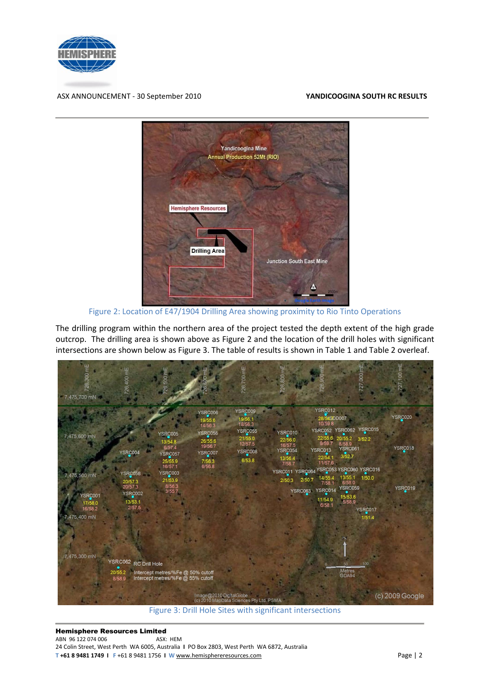

ASX ANNOUNCEMENT - 30 September 2010 **YANDICOOGINA SOUTH RC RESULTS**



Figure 2: Location of E47/1904 Drilling Area showing proximity to Rio Tinto Operations

The drilling program within the northern area of the project tested the depth extent of the high grade outcrop. The drilling area is shown above as Figure 2 and the location of the drill holes with significant intersections are shown below as Figure 3. The table of results is shown in Table 1 and Table 2 overleaf.



Figure 3: Drill Hole Sites with significant intersections